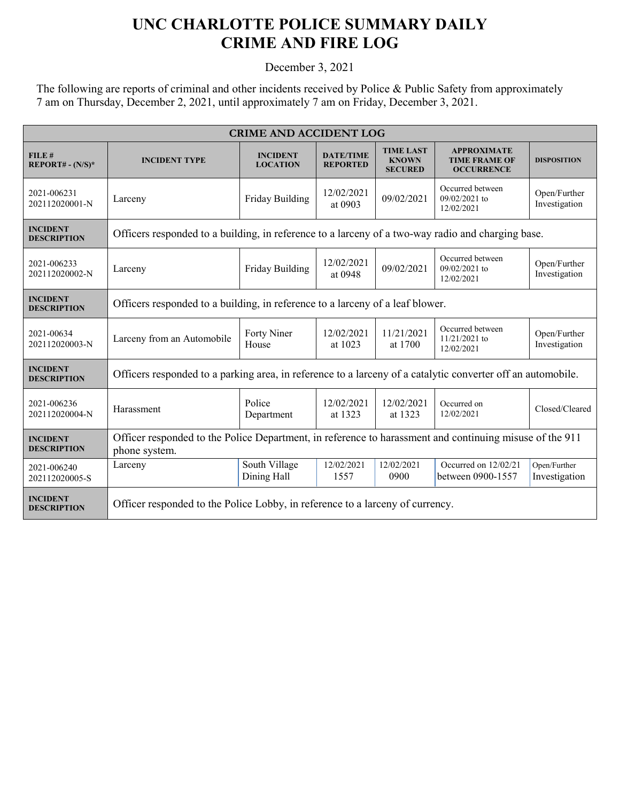## **UNC CHARLOTTE POLICE SUMMARY DAILY CRIME AND FIRE LOG**

December 3, 2021

The following are reports of criminal and other incidents received by Police & Public Safety from approximately 7 am on Thursday, December 2, 2021, until approximately 7 am on Friday, December 3, 2021.

| <b>CRIME AND ACCIDENT LOG</b>         |                                                                                                                          |                                    |                                     |                                                    |                                                                 |                               |  |
|---------------------------------------|--------------------------------------------------------------------------------------------------------------------------|------------------------------------|-------------------------------------|----------------------------------------------------|-----------------------------------------------------------------|-------------------------------|--|
| FILE#<br>$REPORT# - (N/S)*$           | <b>INCIDENT TYPE</b>                                                                                                     | <b>INCIDENT</b><br><b>LOCATION</b> | <b>DATE/TIME</b><br><b>REPORTED</b> | <b>TIME LAST</b><br><b>KNOWN</b><br><b>SECURED</b> | <b>APPROXIMATE</b><br><b>TIME FRAME OF</b><br><b>OCCURRENCE</b> | <b>DISPOSITION</b>            |  |
| 2021-006231<br>202112020001-N         | Larceny                                                                                                                  | Friday Building                    | 12/02/2021<br>at 0903               | 09/02/2021                                         | Occurred between<br>$09/02/2021$ to<br>12/02/2021               | Open/Further<br>Investigation |  |
| <b>INCIDENT</b><br><b>DESCRIPTION</b> | Officers responded to a building, in reference to a larceny of a two-way radio and charging base.                        |                                    |                                     |                                                    |                                                                 |                               |  |
| 2021-006233<br>202112020002-N         | Larceny                                                                                                                  | Friday Building                    | 12/02/2021<br>at 0948               | 09/02/2021                                         | Occurred between<br>09/02/2021 to<br>12/02/2021                 | Open/Further<br>Investigation |  |
| <b>INCIDENT</b><br><b>DESCRIPTION</b> | Officers responded to a building, in reference to a larceny of a leaf blower.                                            |                                    |                                     |                                                    |                                                                 |                               |  |
| 2021-00634<br>202112020003-N          | Larceny from an Automobile                                                                                               | Forty Niner<br>House               | 12/02/2021<br>at 1023               | 11/21/2021<br>at 1700                              | Occurred between<br>$11/21/2021$ to<br>12/02/2021               | Open/Further<br>Investigation |  |
| <b>INCIDENT</b><br><b>DESCRIPTION</b> | Officers responded to a parking area, in reference to a larceny of a catalytic converter off an automobile.              |                                    |                                     |                                                    |                                                                 |                               |  |
| 2021-006236<br>202112020004-N         | Harassment                                                                                                               | Police<br>Department               | 12/02/2021<br>at 1323               | 12/02/2021<br>at 1323                              | Occurred on<br>12/02/2021                                       | Closed/Cleared                |  |
| <b>INCIDENT</b><br><b>DESCRIPTION</b> | Officer responded to the Police Department, in reference to harassment and continuing misuse of the 911<br>phone system. |                                    |                                     |                                                    |                                                                 |                               |  |
| 2021-006240<br>202112020005-S         | Larceny                                                                                                                  | South Village<br>Dining Hall       | 12/02/2021<br>1557                  | 12/02/2021<br>0900                                 | Occurred on 12/02/21<br>between 0900-1557                       | Open/Further<br>Investigation |  |
| <b>INCIDENT</b><br><b>DESCRIPTION</b> | Officer responded to the Police Lobby, in reference to a larceny of currency.                                            |                                    |                                     |                                                    |                                                                 |                               |  |